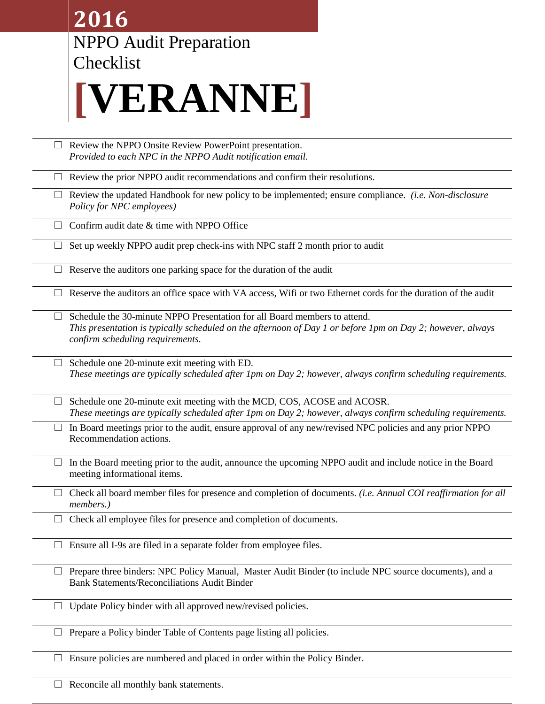|        | 2016                                                                                                                                                                                                                        |
|--------|-----------------------------------------------------------------------------------------------------------------------------------------------------------------------------------------------------------------------------|
|        | <b>NPPO Audit Preparation</b>                                                                                                                                                                                               |
|        | Checklist                                                                                                                                                                                                                   |
|        | [VERANNE]                                                                                                                                                                                                                   |
| $\Box$ | Review the NPPO Onsite Review PowerPoint presentation.<br>Provided to each NPC in the NPPO Audit notification email.                                                                                                        |
|        | Review the prior NPPO audit recommendations and confirm their resolutions.                                                                                                                                                  |
|        | Review the updated Handbook for new policy to be implemented; ensure compliance. (i.e. Non-disclosure<br>Policy for NPC employees)                                                                                          |
|        | Confirm audit date & time with NPPO Office                                                                                                                                                                                  |
| ⊔      | Set up weekly NPPO audit prep check-ins with NPC staff 2 month prior to audit                                                                                                                                               |
|        | Reserve the auditors one parking space for the duration of the audit                                                                                                                                                        |
|        | Reserve the auditors an office space with VA access, Wifi or two Ethernet cords for the duration of the audit                                                                                                               |
|        | Schedule the 30-minute NPPO Presentation for all Board members to attend.<br>This presentation is typically scheduled on the afternoon of Day 1 or before 1pm on Day 2; however, always<br>confirm scheduling requirements. |
|        | Schedule one 20-minute exit meeting with ED.<br>These meetings are typically scheduled after 1pm on Day 2; however, always confirm scheduling requirements.                                                                 |
|        | Schedule one 20-minute exit meeting with the MCD, COS, ACOSE and ACOSR.<br>These meetings are typically scheduled after 1pm on Day 2; however, always confirm scheduling requirements.                                      |
|        | In Board meetings prior to the audit, ensure approval of any new/revised NPC policies and any prior NPPO<br>Recommendation actions.                                                                                         |
|        | In the Board meeting prior to the audit, announce the upcoming NPPO audit and include notice in the Board<br>meeting informational items.                                                                                   |
|        | Check all board member files for presence and completion of documents. (i.e. Annual COI reaffirmation for all<br>members.)                                                                                                  |
|        | Check all employee files for presence and completion of documents.                                                                                                                                                          |
|        | Ensure all I-9s are filed in a separate folder from employee files.                                                                                                                                                         |
| $\Box$ | Prepare three binders: NPC Policy Manual, Master Audit Binder (to include NPC source documents), and a<br><b>Bank Statements/Reconciliations Audit Binder</b>                                                               |
|        | Update Policy binder with all approved new/revised policies.                                                                                                                                                                |
|        | Prepare a Policy binder Table of Contents page listing all policies.                                                                                                                                                        |
|        | Ensure policies are numbered and placed in order within the Policy Binder.                                                                                                                                                  |
|        | Reconcile all monthly bank statements.                                                                                                                                                                                      |